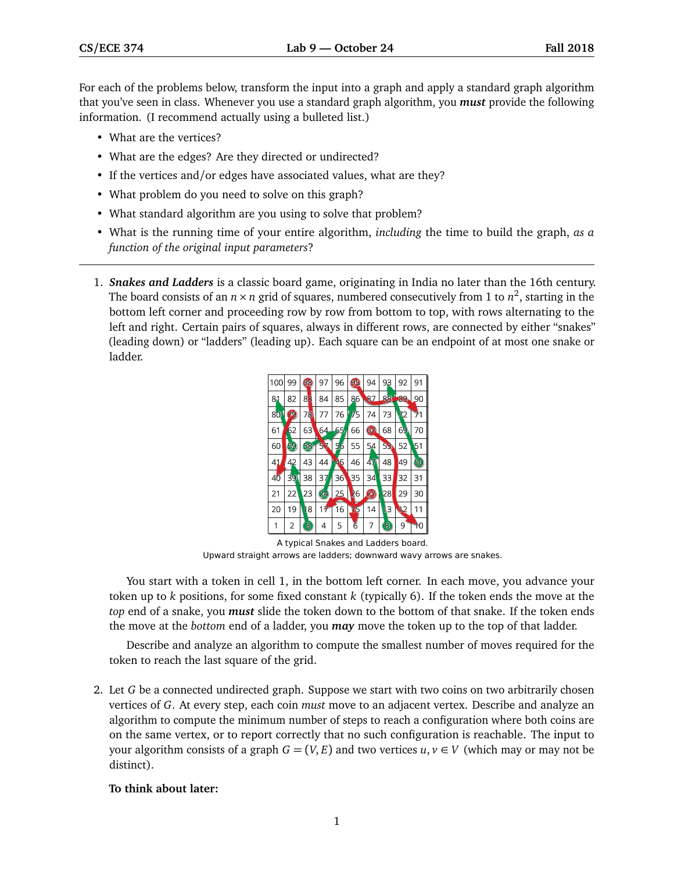For each of the problems below, transform the input into a graph and apply a standard graph algorithm that you've seen in class. Whenever you use a standard graph algorithm, you *must* provide the following information. (I recommend actually using a bulleted list.)

- What are the vertices?
- What are the edges? Are they directed or undirected?
- If the vertices and/or edges have associated values, what are they?
- What problem do you need to solve on this graph?
- What standard algorithm are you using to solve that problem?
- What is the running time of your entire algorithm, *including* the time to build the graph, *as a function of the original input parameters*?
- 1. *Snakes and Ladders* is a classic board game, originating in India no later than the 16th century. The board consists of an  $n \times n$  grid of squares, numbered consecutively from 1 to  $n^2$ , starting in the bottom left corner and proceeding row by row from bottom to top, with rows alternating to the left and right. Certain pairs of squares, always in different rows, are connected by either "snakes" (leading down) or "ladders" (leading up). Each square can be an endpoint of at most one snake or ladder.



A typical Snakes and Ladders board. Upward straight arrows are ladders; downward wavy arrows are snakes.

You start with a token in cell 1, in the bottom left corner. In each move, you advance your token up to *k* positions, for some fixed constant *k* (typically 6). If the token ends the move at the *top* end of a snake, you *must* slide the token down to the bottom of that snake. If the token ends the move at the *bottom* end of a ladder, you *may* move the token up to the top of that ladder.

Describe and analyze an algorithm to compute the smallest number of moves required for the token to reach the last square of the grid.

2. Let *G* be a connected undirected graph. Suppose we start with two coins on two arbitrarily chosen vertices of *G*. At every step, each coin *must* move to an adjacent vertex. Describe and analyze an algorithm to compute the minimum number of steps to reach a configuration where both coins are on the same vertex, or to report correctly that no such configuration is reachable. The input to your algorithm consists of a graph  $G = (V, E)$  and two vertices  $u, v \in V$  (which may or may not be distinct).

## **To think about later:**